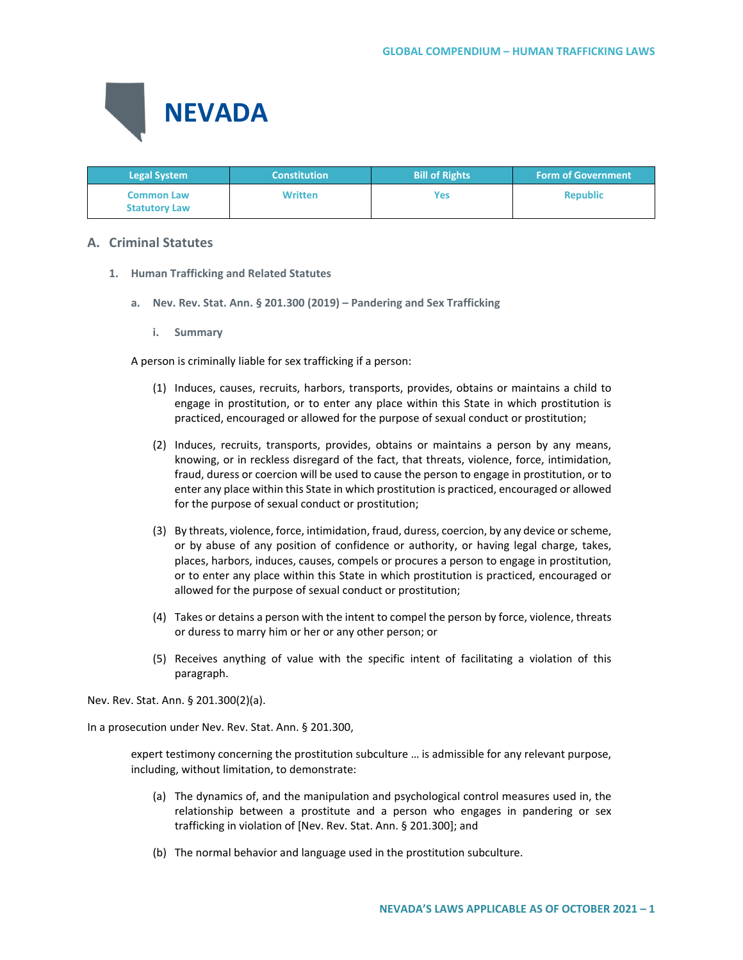

| <b>Legal System</b>                       | <b>Constitution</b> | <b>Bill of Rights</b> | <b>Form of Government</b> |
|-------------------------------------------|---------------------|-----------------------|---------------------------|
| <b>Common Law</b><br><b>Statutory Law</b> | <b>Written</b>      | <b>Yes</b>            | <b>Republic</b>           |

# **A. Criminal Statutes**

- **1. Human Trafficking and Related Statutes**
	- **a. Nev. Rev. Stat. Ann. § 201.300 (2019) – Pandering and Sex Trafficking**
		- **i. Summary**

A person is criminally liable for sex trafficking if a person:

- (1) Induces, causes, recruits, harbors, transports, provides, obtains or maintains a child to engage in prostitution, or to enter any place within this State in which prostitution is practiced, encouraged or allowed for the purpose of sexual conduct or prostitution;
- (2) Induces, recruits, transports, provides, obtains or maintains a person by any means, knowing, or in reckless disregard of the fact, that threats, violence, force, intimidation, fraud, duress or coercion will be used to cause the person to engage in prostitution, or to enter any place within this State in which prostitution is practiced, encouraged or allowed for the purpose of sexual conduct or prostitution;
- (3) By threats, violence, force, intimidation, fraud, duress, coercion, by any device or scheme, or by abuse of any position of confidence or authority, or having legal charge, takes, places, harbors, induces, causes, compels or procures a person to engage in prostitution, or to enter any place within this State in which prostitution is practiced, encouraged or allowed for the purpose of sexual conduct or prostitution;
- (4) Takes or detains a person with the intent to compel the person by force, violence, threats or duress to marry him or her or any other person; or
- (5) Receives anything of value with the specific intent of facilitating a violation of this paragraph.

Nev. Rev. Stat. Ann. § 201.300(2)(a).

In a prosecution under Nev. Rev. Stat. Ann. § 201.300,

expert testimony concerning the prostitution subculture … is admissible for any relevant purpose, including, without limitation, to demonstrate:

- (a) The dynamics of, and the manipulation and psychological control measures used in, the relationship between a prostitute and a person who engages in pandering or sex trafficking in violation of [Nev. Rev. Stat. Ann. § 201.300]; and
- (b) The normal behavior and language used in the prostitution subculture.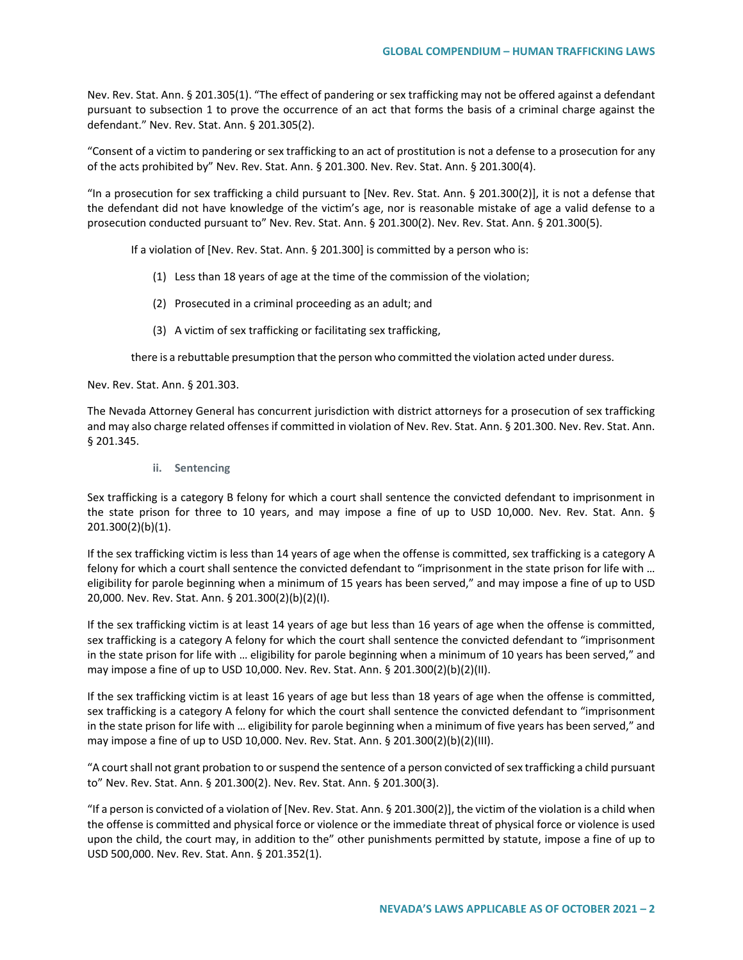Nev. Rev. Stat. Ann. § 201.305(1). "The effect of pandering or sex trafficking may not be offered against a defendant pursuant to subsection 1 to prove the occurrence of an act that forms the basis of a criminal charge against the defendant." Nev. Rev. Stat. Ann. § 201.305(2).

"Consent of a victim to pandering or sex trafficking to an act of prostitution is not a defense to a prosecution for any of the acts prohibited by" Nev. Rev. Stat. Ann. § 201.300. Nev. Rev. Stat. Ann. § 201.300(4).

"In a prosecution for sex trafficking a child pursuant to [Nev. Rev. Stat. Ann. § 201.300(2)], it is not a defense that the defendant did not have knowledge of the victim's age, nor is reasonable mistake of age a valid defense to a prosecution conducted pursuant to" Nev. Rev. Stat. Ann. § 201.300(2). Nev. Rev. Stat. Ann. § 201.300(5).

If a violation of [Nev. Rev. Stat. Ann. § 201.300] is committed by a person who is:

- (1) Less than 18 years of age at the time of the commission of the violation;
- (2) Prosecuted in a criminal proceeding as an adult; and
- (3) A victim of sex trafficking or facilitating sex trafficking,

there is a rebuttable presumption that the person who committed the violation acted under duress.

Nev. Rev. Stat. Ann. § 201.303.

The Nevada Attorney General has concurrent jurisdiction with district attorneys for a prosecution of sex trafficking and may also charge related offenses if committed in violation of Nev. Rev. Stat. Ann. § 201.300. Nev. Rev. Stat. Ann. § 201.345.

**ii. Sentencing**

Sex trafficking is a category B felony for which a court shall sentence the convicted defendant to imprisonment in the state prison for three to 10 years, and may impose a fine of up to USD 10,000. Nev. Rev. Stat. Ann. § 201.300(2)(b)(1).

If the sex trafficking victim is less than 14 years of age when the offense is committed, sex trafficking is a category A felony for which a court shall sentence the convicted defendant to "imprisonment in the state prison for life with … eligibility for parole beginning when a minimum of 15 years has been served," and may impose a fine of up to USD 20,000. Nev. Rev. Stat. Ann. § 201.300(2)(b)(2)(I).

If the sex trafficking victim is at least 14 years of age but less than 16 years of age when the offense is committed, sex trafficking is a category A felony for which the court shall sentence the convicted defendant to "imprisonment in the state prison for life with … eligibility for parole beginning when a minimum of 10 years has been served," and may impose a fine of up to USD 10,000. Nev. Rev. Stat. Ann. § 201.300(2)(b)(2)(II).

If the sex trafficking victim is at least 16 years of age but less than 18 years of age when the offense is committed, sex trafficking is a category A felony for which the court shall sentence the convicted defendant to "imprisonment in the state prison for life with … eligibility for parole beginning when a minimum of five years has been served," and may impose a fine of up to USD 10,000. Nev. Rev. Stat. Ann. § 201.300(2)(b)(2)(III).

"A court shall not grant probation to or suspend the sentence of a person convicted of sex trafficking a child pursuant to" Nev. Rev. Stat. Ann. § 201.300(2). Nev. Rev. Stat. Ann. § 201.300(3).

"If a person is convicted of a violation of [Nev. Rev. Stat. Ann. § 201.300(2)], the victim of the violation is a child when the offense is committed and physical force or violence or the immediate threat of physical force or violence is used upon the child, the court may, in addition to the" other punishments permitted by statute, impose a fine of up to USD 500,000. Nev. Rev. Stat. Ann. § 201.352(1).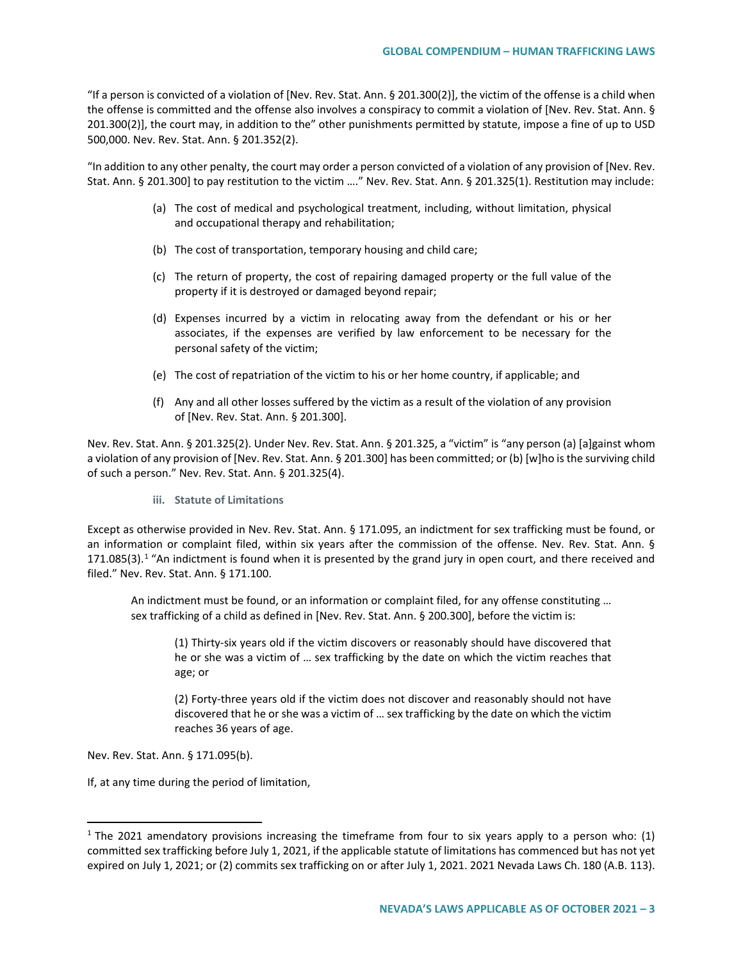"If a person is convicted of a violation of [Nev. Rev. Stat. Ann. § 201.300(2)], the victim of the offense is a child when the offense is committed and the offense also involves a conspiracy to commit a violation of [Nev. Rev. Stat. Ann. § 201.300(2)], the court may, in addition to the" other punishments permitted by statute, impose a fine of up to USD 500,000. Nev. Rev. Stat. Ann. § 201.352(2).

"In addition to any other penalty, the court may order a person convicted of a violation of any provision of [Nev. Rev. Stat. Ann. § 201.300] to pay restitution to the victim …." Nev. Rev. Stat. Ann. § 201.325(1). Restitution may include:

- (a) The cost of medical and psychological treatment, including, without limitation, physical and occupational therapy and rehabilitation;
- (b) The cost of transportation, temporary housing and child care;
- (c) The return of property, the cost of repairing damaged property or the full value of the property if it is destroyed or damaged beyond repair;
- (d) Expenses incurred by a victim in relocating away from the defendant or his or her associates, if the expenses are verified by law enforcement to be necessary for the personal safety of the victim;
- (e) The cost of repatriation of the victim to his or her home country, if applicable; and
- (f) Any and all other losses suffered by the victim as a result of the violation of any provision of [Nev. Rev. Stat. Ann. § 201.300].

Nev. Rev. Stat. Ann. § 201.325(2). Under Nev. Rev. Stat. Ann. § 201.325, a "victim" is "any person (a) [a]gainst whom a violation of any provision of [Nev. Rev. Stat. Ann. § 201.300] has been committed; or (b) [w]ho is the surviving child of such a person." Nev. Rev. Stat. Ann. § 201.325(4).

**iii. Statute of Limitations**

Except as otherwise provided in Nev. Rev. Stat. Ann. § 171.095, an indictment for sex trafficking must be found, or an information or complaint filed, within six years after the commission of the offense. Nev. Rev. Stat. Ann. §  $171.085(3)$  $171.085(3)$ .<sup>1</sup> "An indictment is found when it is presented by the grand jury in open court, and there received and filed." Nev. Rev. Stat. Ann. § 171.100.

An indictment must be found, or an information or complaint filed, for any offense constituting … sex trafficking of a child as defined in [Nev. Rev. Stat. Ann. § 200.300], before the victim is:

(1) Thirty-six years old if the victim discovers or reasonably should have discovered that he or she was a victim of … sex trafficking by the date on which the victim reaches that age; or

(2) Forty-three years old if the victim does not discover and reasonably should not have discovered that he or she was a victim of … sex trafficking by the date on which the victim reaches 36 years of age.

Nev. Rev. Stat. Ann. § 171.095(b).

If, at any time during the period of limitation,

<span id="page-2-0"></span><sup>&</sup>lt;sup>1</sup> The 2021 amendatory provisions increasing the timeframe from four to six years apply to a person who: (1) committed sex trafficking before July 1, 2021, if the applicable statute of limitations has commenced but has not yet expired on July 1, 2021; or (2) commits sex trafficking on or after July 1, 2021. 2021 Nevada Laws Ch. 180 (A.B. 113).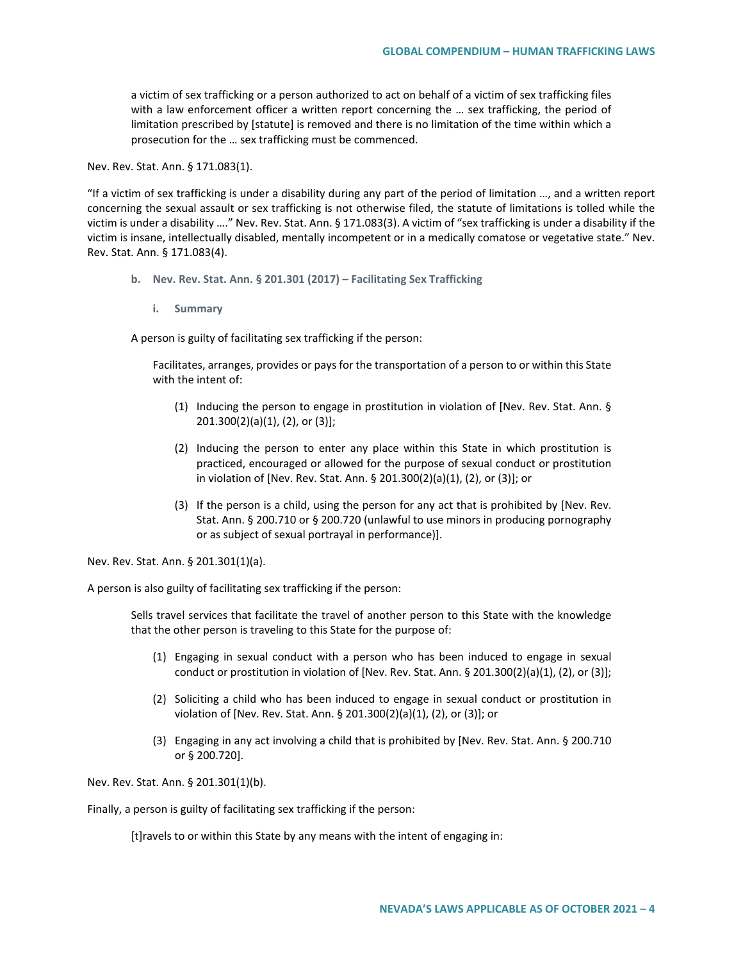a victim of sex trafficking or a person authorized to act on behalf of a victim of sex trafficking files with a law enforcement officer a written report concerning the … sex trafficking, the period of limitation prescribed by [statute] is removed and there is no limitation of the time within which a prosecution for the … sex trafficking must be commenced.

Nev. Rev. Stat. Ann. § 171.083(1).

"If a victim of sex trafficking is under a disability during any part of the period of limitation …, and a written report concerning the sexual assault or sex trafficking is not otherwise filed, the statute of limitations is tolled while the victim is under a disability …." Nev. Rev. Stat. Ann. § 171.083(3). A victim of "sex trafficking is under a disability if the victim is insane, intellectually disabled, mentally incompetent or in a medically comatose or vegetative state." Nev. Rev. Stat. Ann. § 171.083(4).

- **b. Nev. Rev. Stat. Ann. § 201.301 (2017) – Facilitating Sex Trafficking**
	- **i. Summary**

A person is guilty of facilitating sex trafficking if the person:

Facilitates, arranges, provides or pays for the transportation of a person to or within this State with the intent of:

- (1) Inducing the person to engage in prostitution in violation of [Nev. Rev. Stat. Ann. § 201.300(2)(a)(1), (2), or (3)];
- (2) Inducing the person to enter any place within this State in which prostitution is practiced, encouraged or allowed for the purpose of sexual conduct or prostitution in violation of [Nev. Rev. Stat. Ann. § 201.300(2)(a)(1), (2), or (3)]; or
- (3) If the person is a child, using the person for any act that is prohibited by [Nev. Rev. Stat. Ann. § 200.710 or § 200.720 (unlawful to use minors in producing pornography or as subject of sexual portrayal in performance)].

Nev. Rev. Stat. Ann. § 201.301(1)(a).

A person is also guilty of facilitating sex trafficking if the person:

Sells travel services that facilitate the travel of another person to this State with the knowledge that the other person is traveling to this State for the purpose of:

- (1) Engaging in sexual conduct with a person who has been induced to engage in sexual conduct or prostitution in violation of [Nev. Rev. Stat. Ann. § 201.300(2)(a)(1), (2), or (3)];
- (2) Soliciting a child who has been induced to engage in sexual conduct or prostitution in violation of [Nev. Rev. Stat. Ann. § 201.300(2)(a)(1), (2), or (3)]; or
- (3) Engaging in any act involving a child that is prohibited by [Nev. Rev. Stat. Ann. § 200.710 or § 200.720].

Nev. Rev. Stat. Ann. § 201.301(1)(b).

Finally, a person is guilty of facilitating sex trafficking if the person:

[t]ravels to or within this State by any means with the intent of engaging in: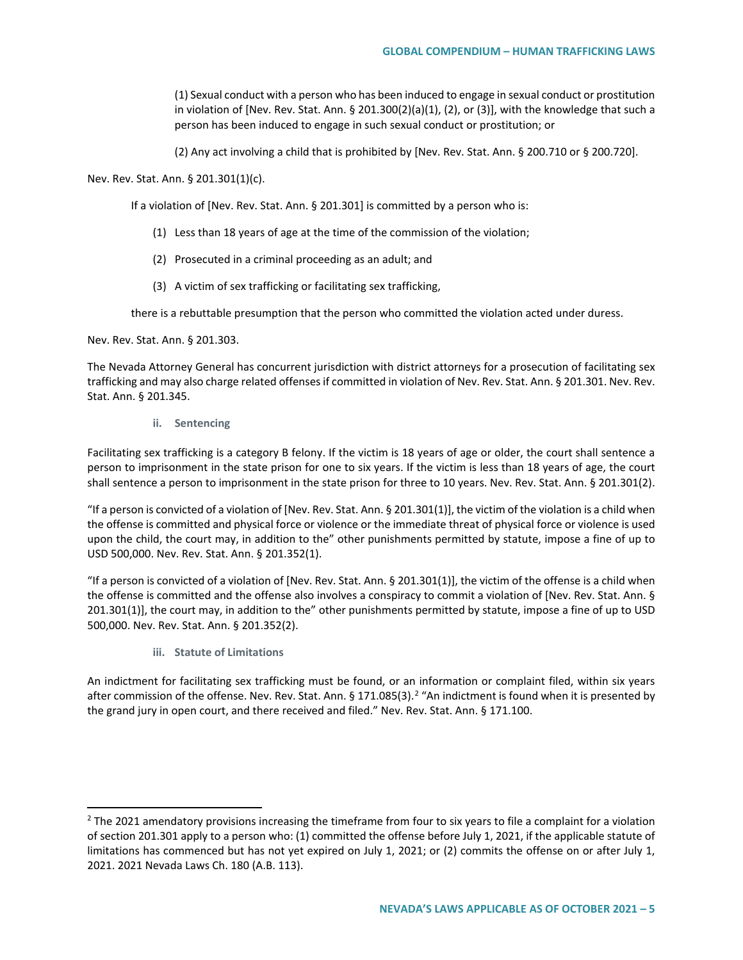(1) Sexual conduct with a person who has been induced to engage in sexual conduct or prostitution in violation of [Nev. Rev. Stat. Ann. § 201.300(2)(a)(1), (2), or (3)], with the knowledge that such a person has been induced to engage in such sexual conduct or prostitution; or

(2) Any act involving a child that is prohibited by [Nev. Rev. Stat. Ann. § 200.710 or § 200.720].

Nev. Rev. Stat. Ann. § 201.301(1)(c).

If a violation of [Nev. Rev. Stat. Ann. § 201.301] is committed by a person who is:

- (1) Less than 18 years of age at the time of the commission of the violation;
- (2) Prosecuted in a criminal proceeding as an adult; and
- (3) A victim of sex trafficking or facilitating sex trafficking,

there is a rebuttable presumption that the person who committed the violation acted under duress.

Nev. Rev. Stat. Ann. § 201.303.

The Nevada Attorney General has concurrent jurisdiction with district attorneys for a prosecution of facilitating sex trafficking and may also charge related offenses if committed in violation of Nev. Rev. Stat. Ann. § 201.301. Nev. Rev. Stat. Ann. § 201.345.

**ii. Sentencing**

Facilitating sex trafficking is a category B felony. If the victim is 18 years of age or older, the court shall sentence a person to imprisonment in the state prison for one to six years. If the victim is less than 18 years of age, the court shall sentence a person to imprisonment in the state prison for three to 10 years. Nev. Rev. Stat. Ann. § 201.301(2).

"If a person is convicted of a violation of [Nev. Rev. Stat. Ann. § 201.301(1)], the victim of the violation is a child when the offense is committed and physical force or violence or the immediate threat of physical force or violence is used upon the child, the court may, in addition to the" other punishments permitted by statute, impose a fine of up to USD 500,000. Nev. Rev. Stat. Ann. § 201.352(1).

"If a person is convicted of a violation of [Nev. Rev. Stat. Ann. § 201.301(1)], the victim of the offense is a child when the offense is committed and the offense also involves a conspiracy to commit a violation of [Nev. Rev. Stat. Ann. § 201.301(1)], the court may, in addition to the" other punishments permitted by statute, impose a fine of up to USD 500,000. Nev. Rev. Stat. Ann. § 201.352(2).

**iii. Statute of Limitations**

An indictment for facilitating sex trafficking must be found, or an information or complaint filed, within six years after commission of the offense. Nev. Rev. Stat. Ann. § 171.085(3).<sup>[2](#page-4-0)</sup> "An indictment is found when it is presented by the grand jury in open court, and there received and filed." Nev. Rev. Stat. Ann. § 171.100.

<span id="page-4-0"></span> $2$  The 2021 amendatory provisions increasing the timeframe from four to six years to file a complaint for a violation of section 201.301 apply to a person who: (1) committed the offense before July 1, 2021, if the applicable statute of limitations has commenced but has not yet expired on July 1, 2021; or (2) commits the offense on or after July 1, 2021. 2021 Nevada Laws Ch. 180 (A.B. 113).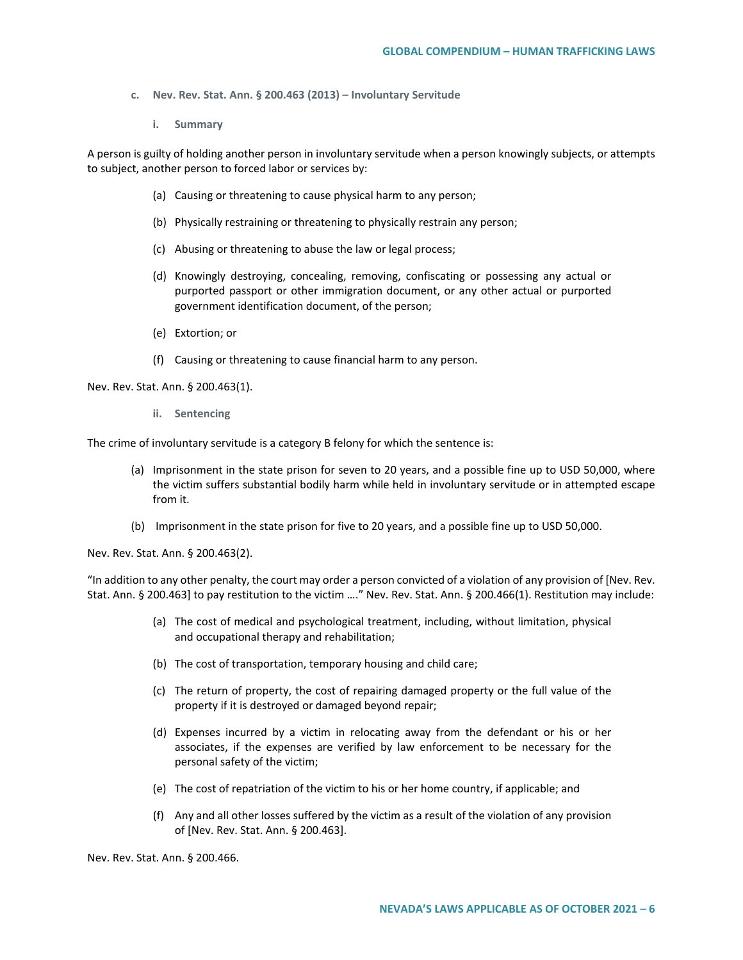- **c. Nev. Rev. Stat. Ann. § 200.463 (2013) – Involuntary Servitude**
	- **i. Summary**

A person is guilty of holding another person in involuntary servitude when a person knowingly subjects, or attempts to subject, another person to forced labor or services by:

- (a) Causing or threatening to cause physical harm to any person;
- (b) Physically restraining or threatening to physically restrain any person;
- (c) Abusing or threatening to abuse the law or legal process;
- (d) Knowingly destroying, concealing, removing, confiscating or possessing any actual or purported passport or other immigration document, or any other actual or purported government identification document, of the person;
- (e) Extortion; or
- (f) Causing or threatening to cause financial harm to any person.

Nev. Rev. Stat. Ann. § 200.463(1).

**ii. Sentencing**

The crime of involuntary servitude is a category B felony for which the sentence is:

- (a) Imprisonment in the state prison for seven to 20 years, and a possible fine up to USD 50,000, where the victim suffers substantial bodily harm while held in involuntary servitude or in attempted escape from it.
- (b) Imprisonment in the state prison for five to 20 years, and a possible fine up to USD 50,000.

Nev. Rev. Stat. Ann. § 200.463(2).

"In addition to any other penalty, the court may order a person convicted of a violation of any provision of [Nev. Rev. Stat. Ann. § 200.463] to pay restitution to the victim …." Nev. Rev. Stat. Ann. § 200.466(1). Restitution may include:

- (a) The cost of medical and psychological treatment, including, without limitation, physical and occupational therapy and rehabilitation;
- (b) The cost of transportation, temporary housing and child care;
- (c) The return of property, the cost of repairing damaged property or the full value of the property if it is destroyed or damaged beyond repair;
- (d) Expenses incurred by a victim in relocating away from the defendant or his or her associates, if the expenses are verified by law enforcement to be necessary for the personal safety of the victim;
- (e) The cost of repatriation of the victim to his or her home country, if applicable; and
- (f) Any and all other losses suffered by the victim as a result of the violation of any provision of [Nev. Rev. Stat. Ann. § 200.463].

Nev. Rev. Stat. Ann. § 200.466.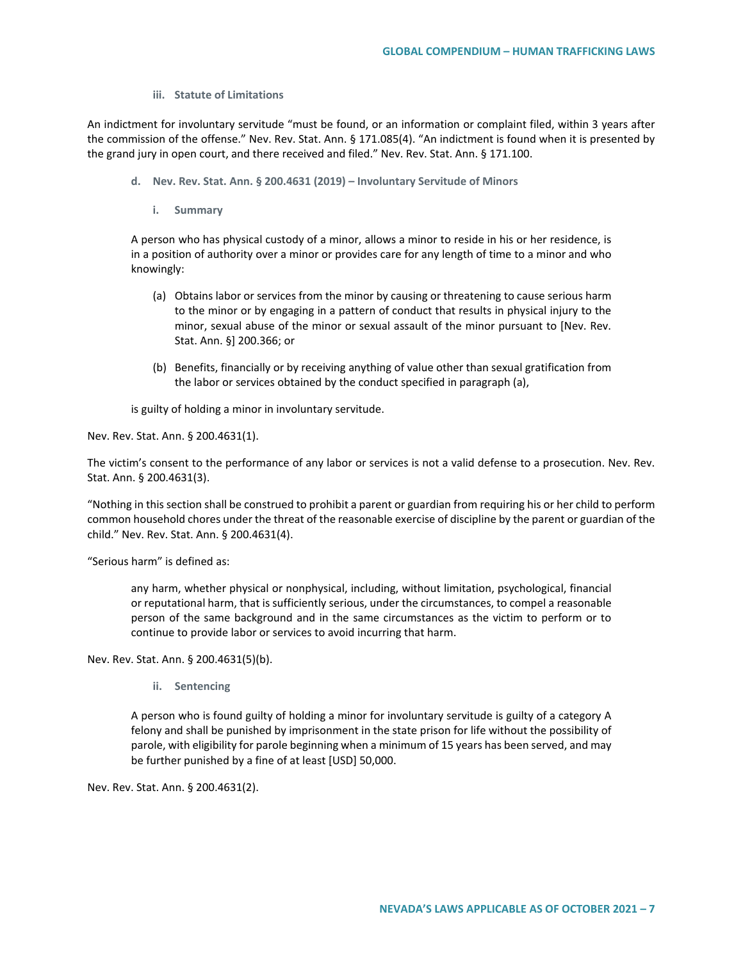An indictment for involuntary servitude "must be found, or an information or complaint filed, within 3 years after the commission of the offense." Nev. Rev. Stat. Ann. § 171.085(4). "An indictment is found when it is presented by the grand jury in open court, and there received and filed." Nev. Rev. Stat. Ann. § 171.100.

- **d. Nev. Rev. Stat. Ann. § 200.4631 (2019) – Involuntary Servitude of Minors**
	- **i. Summary**

A person who has physical custody of a minor, allows a minor to reside in his or her residence, is in a position of authority over a minor or provides care for any length of time to a minor and who knowingly:

- (a) Obtains labor or services from the minor by causing or threatening to cause serious harm to the minor or by engaging in a pattern of conduct that results in physical injury to the minor, sexual abuse of the minor or sexual assault of the minor pursuant to [Nev. Rev. Stat. Ann. §] 200.366; or
- (b) Benefits, financially or by receiving anything of value other than sexual gratification from the labor or services obtained by the conduct specified in paragraph (a),

is guilty of holding a minor in involuntary servitude.

Nev. Rev. Stat. Ann. § 200.4631(1).

The victim's consent to the performance of any labor or services is not a valid defense to a prosecution. Nev. Rev. Stat. Ann. § 200.4631(3).

"Nothing in this section shall be construed to prohibit a parent or guardian from requiring his or her child to perform common household chores under the threat of the reasonable exercise of discipline by the parent or guardian of the child." Nev. Rev. Stat. Ann. § 200.4631(4).

"Serious harm" is defined as:

any harm, whether physical or nonphysical, including, without limitation, psychological, financial or reputational harm, that is sufficiently serious, under the circumstances, to compel a reasonable person of the same background and in the same circumstances as the victim to perform or to continue to provide labor or services to avoid incurring that harm.

Nev. Rev. Stat. Ann. § 200.4631(5)(b).

**ii. Sentencing**

A person who is found guilty of holding a minor for involuntary servitude is guilty of a category A felony and shall be punished by imprisonment in the state prison for life without the possibility of parole, with eligibility for parole beginning when a minimum of 15 years has been served, and may be further punished by a fine of at least [USD] 50,000.

Nev. Rev. Stat. Ann. § 200.4631(2).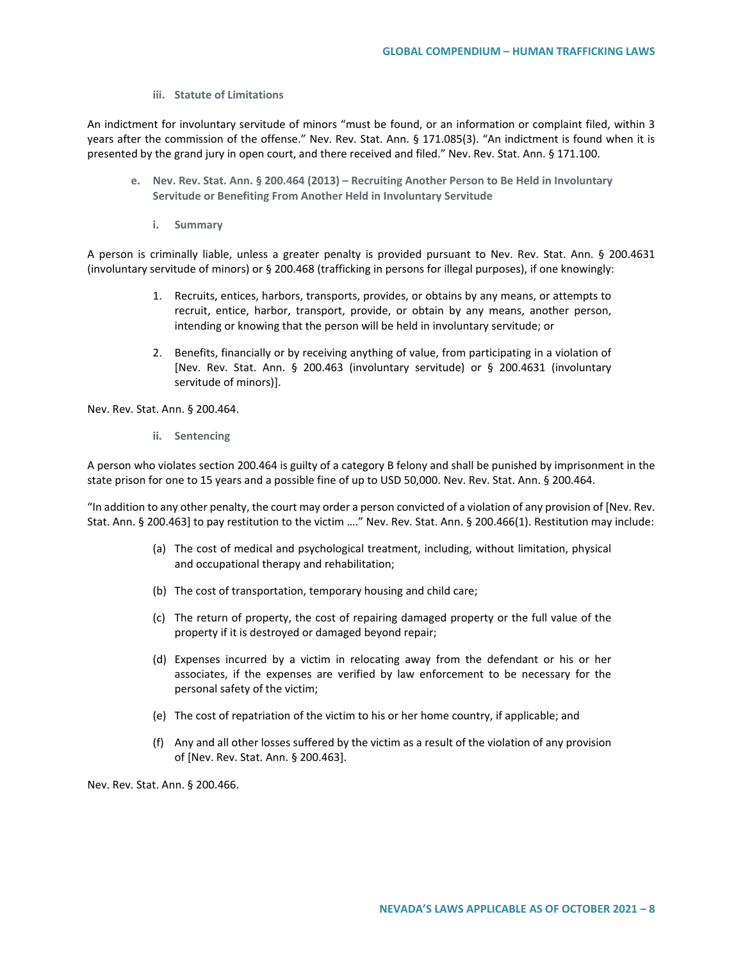An indictment for involuntary servitude of minors "must be found, or an information or complaint filed, within 3 years after the commission of the offense." Nev. Rev. Stat. Ann. § 171.085(3). "An indictment is found when it is presented by the grand jury in open court, and there received and filed." Nev. Rev. Stat. Ann. § 171.100.

- **e. Nev. Rev. Stat. Ann. § 200.464 (2013) – Recruiting Another Person to Be Held in Involuntary Servitude or Benefiting From Another Held in Involuntary Servitude**
	- **i. Summary**

A person is criminally liable, unless a greater penalty is provided pursuant to Nev. Rev. Stat. Ann. § 200.4631 (involuntary servitude of minors) or § 200.468 (trafficking in persons for illegal purposes), if one knowingly:

- 1. Recruits, entices, harbors, transports, provides, or obtains by any means, or attempts to recruit, entice, harbor, transport, provide, or obtain by any means, another person, intending or knowing that the person will be held in involuntary servitude; or
- 2. Benefits, financially or by receiving anything of value, from participating in a violation of [Nev. Rev. Stat. Ann. § 200.463 (involuntary servitude) or § 200.4631 (involuntary servitude of minors)].

Nev. Rev. Stat. Ann. § 200.464.

**ii. Sentencing**

A person who violates section 200.464 is guilty of a category B felony and shall be punished by imprisonment in the state prison for one to 15 years and a possible fine of up to USD 50,000. Nev. Rev. Stat. Ann. § 200.464.

"In addition to any other penalty, the court may order a person convicted of a violation of any provision of [Nev. Rev. Stat. Ann. § 200.463] to pay restitution to the victim …." Nev. Rev. Stat. Ann. § 200.466(1). Restitution may include:

- (a) The cost of medical and psychological treatment, including, without limitation, physical and occupational therapy and rehabilitation;
- (b) The cost of transportation, temporary housing and child care;
- (c) The return of property, the cost of repairing damaged property or the full value of the property if it is destroyed or damaged beyond repair;
- (d) Expenses incurred by a victim in relocating away from the defendant or his or her associates, if the expenses are verified by law enforcement to be necessary for the personal safety of the victim;
- (e) The cost of repatriation of the victim to his or her home country, if applicable; and
- (f) Any and all other losses suffered by the victim as a result of the violation of any provision of [Nev. Rev. Stat. Ann. § 200.463].

Nev. Rev. Stat. Ann. § 200.466.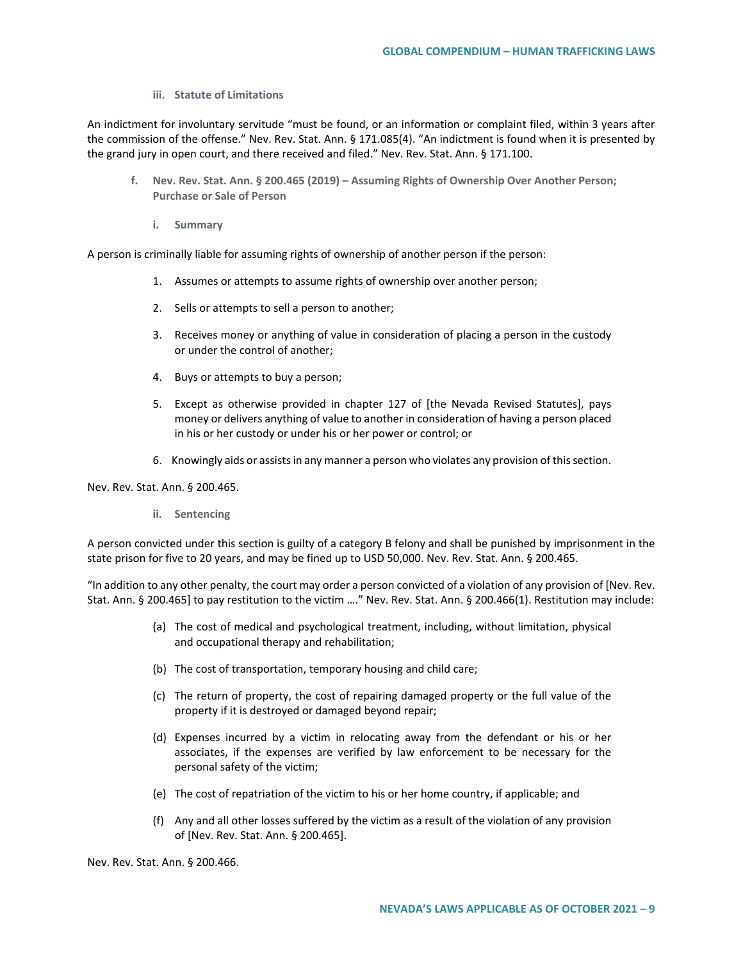An indictment for involuntary servitude "must be found, or an information or complaint filed, within 3 years after the commission of the offense." Nev. Rev. Stat. Ann. § 171.085(4). "An indictment is found when it is presented by the grand jury in open court, and there received and filed." Nev. Rev. Stat. Ann. § 171.100.

- **f. Nev. Rev. Stat. Ann. § 200.465 (2019) – Assuming Rights of Ownership Over Another Person; Purchase or Sale of Person**
	- **i. Summary**

A person is criminally liable for assuming rights of ownership of another person if the person:

- 1. Assumes or attempts to assume rights of ownership over another person;
- 2. Sells or attempts to sell a person to another;
- 3. Receives money or anything of value in consideration of placing a person in the custody or under the control of another;
- 4. Buys or attempts to buy a person;
- 5. Except as otherwise provided in chapter 127 of [the Nevada Revised Statutes], pays money or delivers anything of value to another in consideration of having a person placed in his or her custody or under his or her power or control; or
- 6. Knowingly aids or assists in any manner a person who violates any provision of this section.

Nev. Rev. Stat. Ann. § 200.465.

**ii. Sentencing**

A person convicted under this section is guilty of a category B felony and shall be punished by imprisonment in the state prison for five to 20 years, and may be fined up to USD 50,000. Nev. Rev. Stat. Ann. § 200.465.

"In addition to any other penalty, the court may order a person convicted of a violation of any provision of [Nev. Rev. Stat. Ann. § 200.465] to pay restitution to the victim …." Nev. Rev. Stat. Ann. § 200.466(1). Restitution may include:

- (a) The cost of medical and psychological treatment, including, without limitation, physical and occupational therapy and rehabilitation;
- (b) The cost of transportation, temporary housing and child care;
- (c) The return of property, the cost of repairing damaged property or the full value of the property if it is destroyed or damaged beyond repair;
- (d) Expenses incurred by a victim in relocating away from the defendant or his or her associates, if the expenses are verified by law enforcement to be necessary for the personal safety of the victim;
- (e) The cost of repatriation of the victim to his or her home country, if applicable; and
- (f) Any and all other losses suffered by the victim as a result of the violation of any provision of [Nev. Rev. Stat. Ann. § 200.465].

Nev. Rev. Stat. Ann. § 200.466.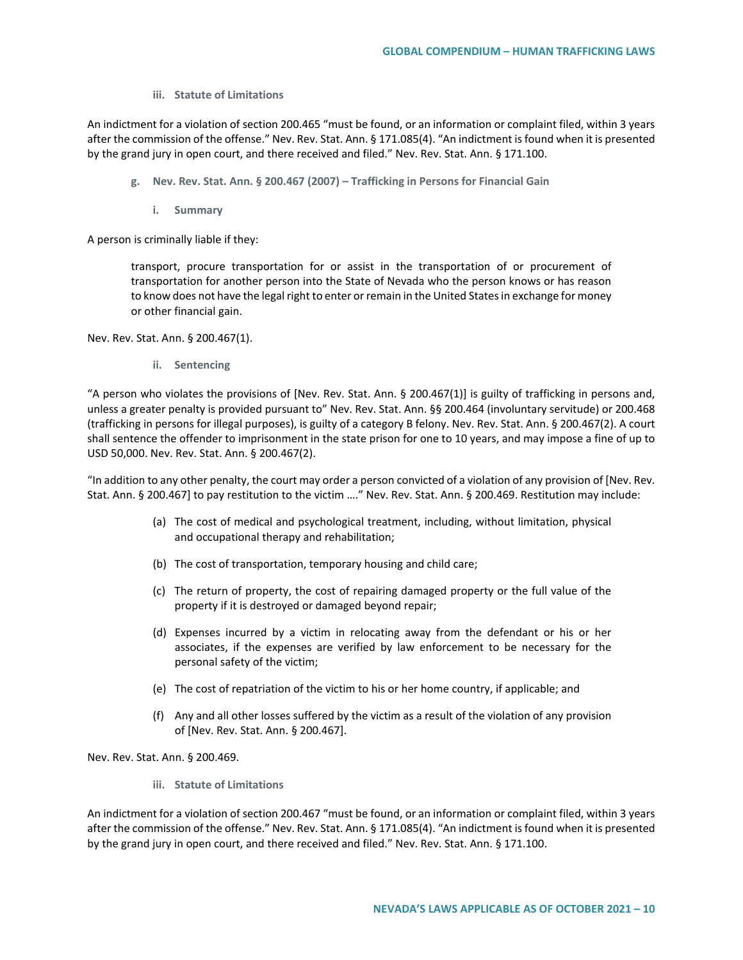An indictment for a violation of section 200.465 "must be found, or an information or complaint filed, within 3 years after the commission of the offense." Nev. Rev. Stat. Ann. § 171.085(4). "An indictment is found when it is presented by the grand jury in open court, and there received and filed." Nev. Rev. Stat. Ann. § 171.100.

- **g. Nev. Rev. Stat. Ann. § 200.467 (2007) – Trafficking in Persons for Financial Gain**
	- **i. Summary**

A person is criminally liable if they:

transport, procure transportation for or assist in the transportation of or procurement of transportation for another person into the State of Nevada who the person knows or has reason to know does not have the legal right to enter or remain in the United States in exchange for money or other financial gain.

Nev. Rev. Stat. Ann. § 200.467(1).

**ii. Sentencing**

"A person who violates the provisions of [Nev. Rev. Stat. Ann. § 200.467(1)] is guilty of trafficking in persons and, unless a greater penalty is provided pursuant to" Nev. Rev. Stat. Ann. §§ 200.464 (involuntary servitude) or 200.468 (trafficking in persons for illegal purposes), is guilty of a category B felony. Nev. Rev. Stat. Ann. § 200.467(2). A court shall sentence the offender to imprisonment in the state prison for one to 10 years, and may impose a fine of up to USD 50,000. Nev. Rev. Stat. Ann. § 200.467(2).

"In addition to any other penalty, the court may order a person convicted of a violation of any provision of [Nev. Rev. Stat. Ann. § 200.467] to pay restitution to the victim …." Nev. Rev. Stat. Ann. § 200.469. Restitution may include:

- (a) The cost of medical and psychological treatment, including, without limitation, physical and occupational therapy and rehabilitation;
- (b) The cost of transportation, temporary housing and child care;
- (c) The return of property, the cost of repairing damaged property or the full value of the property if it is destroyed or damaged beyond repair;
- (d) Expenses incurred by a victim in relocating away from the defendant or his or her associates, if the expenses are verified by law enforcement to be necessary for the personal safety of the victim;
- (e) The cost of repatriation of the victim to his or her home country, if applicable; and
- (f) Any and all other losses suffered by the victim as a result of the violation of any provision of [Nev. Rev. Stat. Ann. § 200.467].

Nev. Rev. Stat. Ann. § 200.469.

**iii. Statute of Limitations**

An indictment for a violation of section 200.467 "must be found, or an information or complaint filed, within 3 years after the commission of the offense." Nev. Rev. Stat. Ann. § 171.085(4). "An indictment is found when it is presented by the grand jury in open court, and there received and filed." Nev. Rev. Stat. Ann. § 171.100.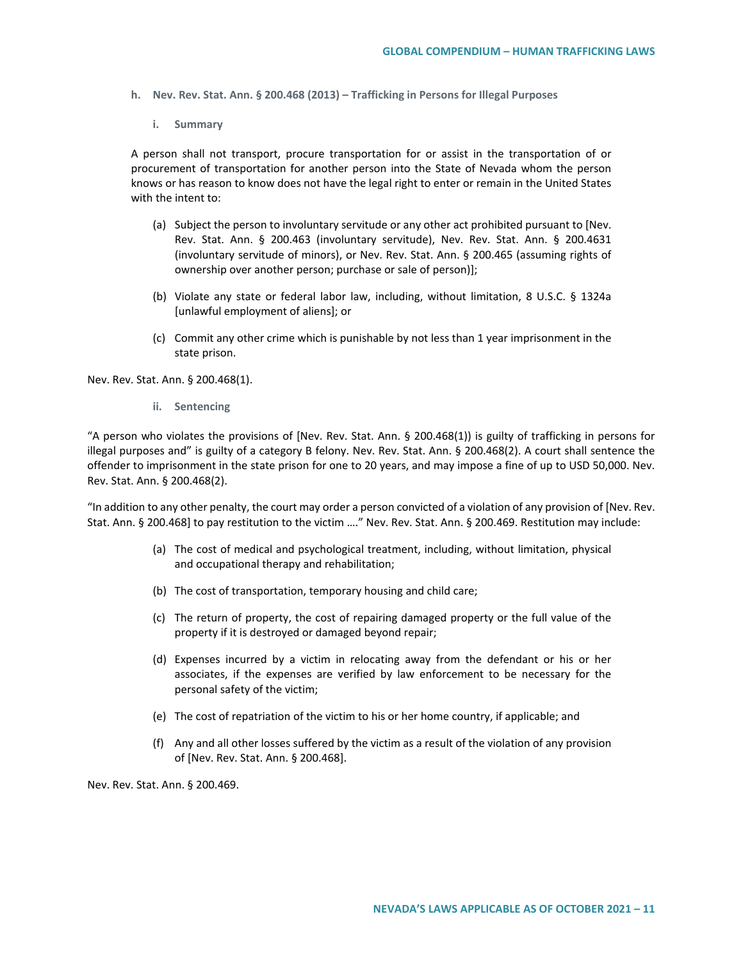- **h. Nev. Rev. Stat. Ann. § 200.468 (2013) – Trafficking in Persons for Illegal Purposes**
	- **i. Summary**

A person shall not transport, procure transportation for or assist in the transportation of or procurement of transportation for another person into the State of Nevada whom the person knows or has reason to know does not have the legal right to enter or remain in the United States with the intent to:

- (a) Subject the person to involuntary servitude or any other act prohibited pursuant to [Nev. Rev. Stat. Ann. § 200.463 (involuntary servitude), Nev. Rev. Stat. Ann. § 200.4631 (involuntary servitude of minors), or Nev. Rev. Stat. Ann. § 200.465 (assuming rights of ownership over another person; purchase or sale of person)];
- (b) Violate any state or federal labor law, including, without limitation, 8 U.S.C. § 1324a [unlawful employment of aliens]; or
- (c) Commit any other crime which is punishable by not less than 1 year imprisonment in the state prison.

Nev. Rev. Stat. Ann. § 200.468(1).

**ii. Sentencing**

"A person who violates the provisions of [Nev. Rev. Stat. Ann. § 200.468(1)) is guilty of trafficking in persons for illegal purposes and" is guilty of a category B felony. Nev. Rev. Stat. Ann. § 200.468(2). A court shall sentence the offender to imprisonment in the state prison for one to 20 years, and may impose a fine of up to USD 50,000. Nev. Rev. Stat. Ann. § 200.468(2).

"In addition to any other penalty, the court may order a person convicted of a violation of any provision of [Nev. Rev. Stat. Ann. § 200.468] to pay restitution to the victim …." Nev. Rev. Stat. Ann. § 200.469. Restitution may include:

- (a) The cost of medical and psychological treatment, including, without limitation, physical and occupational therapy and rehabilitation;
- (b) The cost of transportation, temporary housing and child care;
- (c) The return of property, the cost of repairing damaged property or the full value of the property if it is destroyed or damaged beyond repair;
- (d) Expenses incurred by a victim in relocating away from the defendant or his or her associates, if the expenses are verified by law enforcement to be necessary for the personal safety of the victim;
- (e) The cost of repatriation of the victim to his or her home country, if applicable; and
- (f) Any and all other losses suffered by the victim as a result of the violation of any provision of [Nev. Rev. Stat. Ann. § 200.468].

Nev. Rev. Stat. Ann. § 200.469.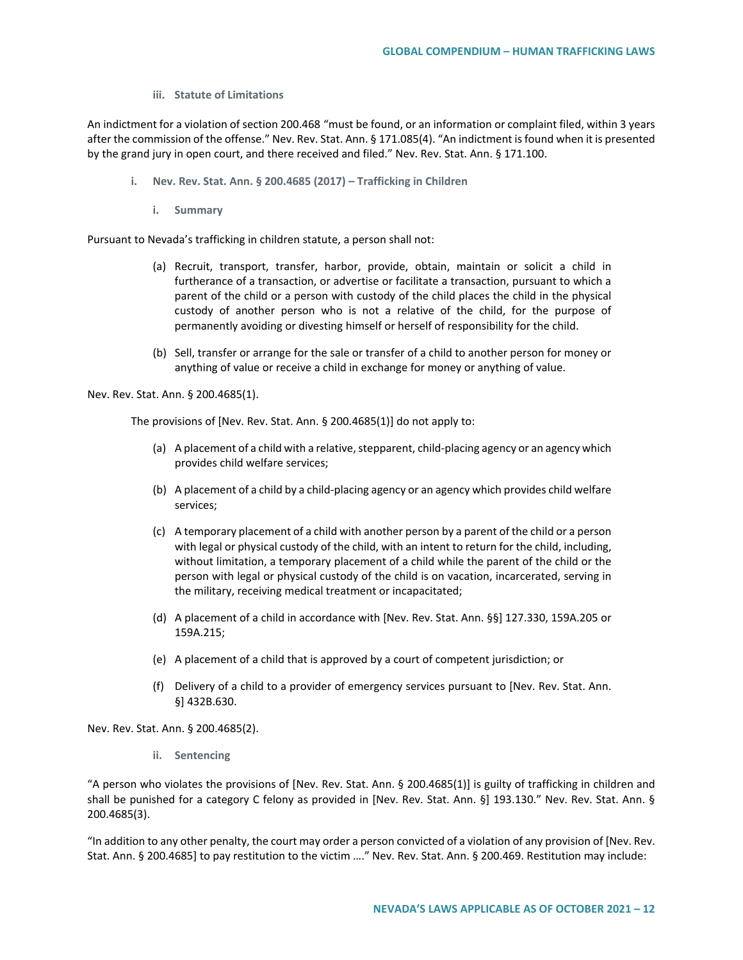An indictment for a violation of section 200.468 "must be found, or an information or complaint filed, within 3 years after the commission of the offense." Nev. Rev. Stat. Ann. § 171.085(4). "An indictment is found when it is presented by the grand jury in open court, and there received and filed." Nev. Rev. Stat. Ann. § 171.100.

- **i. Nev. Rev. Stat. Ann. § 200.4685 (2017) – Trafficking in Children**
	- **i. Summary**

Pursuant to Nevada's trafficking in children statute, a person shall not:

- (a) Recruit, transport, transfer, harbor, provide, obtain, maintain or solicit a child in furtherance of a transaction, or advertise or facilitate a transaction, pursuant to which a parent of the child or a person with custody of the child places the child in the physical custody of another person who is not a relative of the child, for the purpose of permanently avoiding or divesting himself or herself of responsibility for the child.
- (b) Sell, transfer or arrange for the sale or transfer of a child to another person for money or anything of value or receive a child in exchange for money or anything of value.

Nev. Rev. Stat. Ann. § 200.4685(1).

The provisions of [Nev. Rev. Stat. Ann. § 200.4685(1)] do not apply to:

- (a) A placement of a child with a relative, stepparent, child-placing agency or an agency which provides child welfare services;
- (b) A placement of a child by a child-placing agency or an agency which provides child welfare services;
- (c) A temporary placement of a child with another person by a parent of the child or a person with legal or physical custody of the child, with an intent to return for the child, including, without limitation, a temporary placement of a child while the parent of the child or the person with legal or physical custody of the child is on vacation, incarcerated, serving in the military, receiving medical treatment or incapacitated;
- (d) A placement of a child in accordance with [Nev. Rev. Stat. Ann. §§] 127.330, 159A.205 or 159A.215;
- (e) A placement of a child that is approved by a court of competent jurisdiction; or
- (f) Delivery of a child to a provider of emergency services pursuant to [Nev. Rev. Stat. Ann. §] 432B.630.

Nev. Rev. Stat. Ann. § 200.4685(2).

**ii. Sentencing**

"A person who violates the provisions of [Nev. Rev. Stat. Ann. § 200.4685(1)] is guilty of trafficking in children and shall be punished for a category C felony as provided in [Nev. Rev. Stat. Ann. §] 193.130." Nev. Rev. Stat. Ann. § 200.4685(3).

"In addition to any other penalty, the court may order a person convicted of a violation of any provision of [Nev. Rev. Stat. Ann. § 200.4685] to pay restitution to the victim …." Nev. Rev. Stat. Ann. § 200.469. Restitution may include: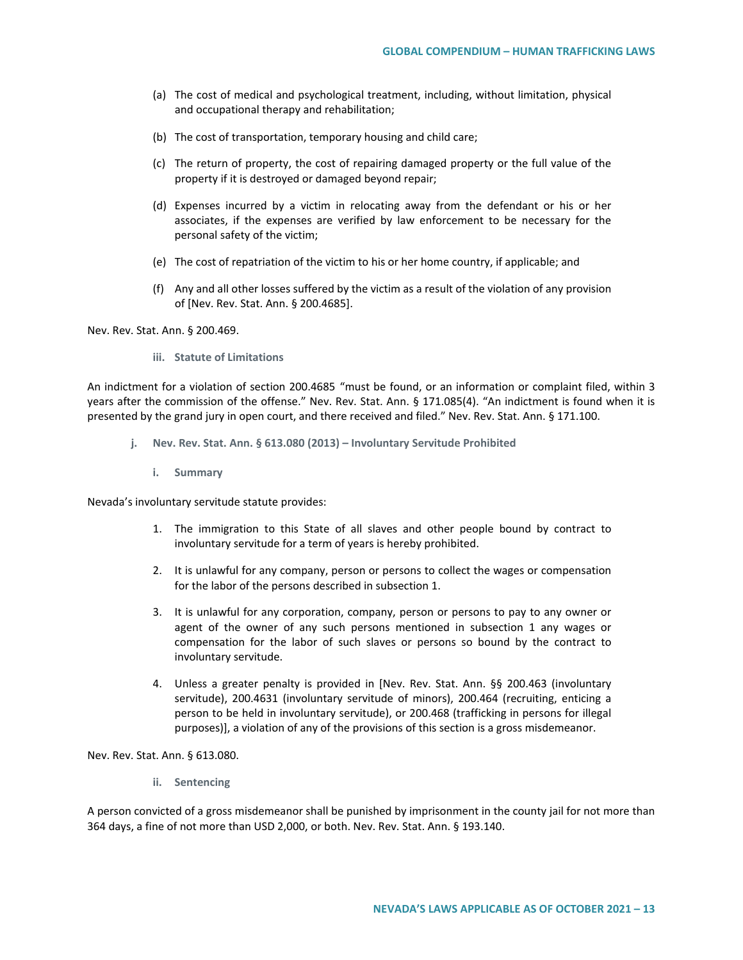- (a) The cost of medical and psychological treatment, including, without limitation, physical and occupational therapy and rehabilitation;
- (b) The cost of transportation, temporary housing and child care;
- (c) The return of property, the cost of repairing damaged property or the full value of the property if it is destroyed or damaged beyond repair;
- (d) Expenses incurred by a victim in relocating away from the defendant or his or her associates, if the expenses are verified by law enforcement to be necessary for the personal safety of the victim;
- (e) The cost of repatriation of the victim to his or her home country, if applicable; and
- (f) Any and all other losses suffered by the victim as a result of the violation of any provision of [Nev. Rev. Stat. Ann. § 200.4685].

Nev. Rev. Stat. Ann. § 200.469.

**iii. Statute of Limitations**

An indictment for a violation of section 200.4685 "must be found, or an information or complaint filed, within 3 years after the commission of the offense." Nev. Rev. Stat. Ann. § 171.085(4). "An indictment is found when it is presented by the grand jury in open court, and there received and filed." Nev. Rev. Stat. Ann. § 171.100.

- **j. Nev. Rev. Stat. Ann. § 613.080 (2013) – Involuntary Servitude Prohibited**
	- **i. Summary**

Nevada's involuntary servitude statute provides:

- 1. The immigration to this State of all slaves and other people bound by contract to involuntary servitude for a term of years is hereby prohibited.
- 2. It is unlawful for any company, person or persons to collect the wages or compensation for the labor of the persons described in subsection 1.
- 3. It is unlawful for any corporation, company, person or persons to pay to any owner or agent of the owner of any such persons mentioned in subsection 1 any wages or compensation for the labor of such slaves or persons so bound by the contract to involuntary servitude.
- 4. Unless a greater penalty is provided in [Nev. Rev. Stat. Ann. §§ 200.463 (involuntary servitude), 200.4631 (involuntary servitude of minors), 200.464 (recruiting, enticing a person to be held in involuntary servitude), or 200.468 (trafficking in persons for illegal purposes)], a violation of any of the provisions of this section is a gross misdemeanor.

Nev. Rev. Stat. Ann. § 613.080.

**ii. Sentencing**

A person convicted of a gross misdemeanor shall be punished by imprisonment in the county jail for not more than 364 days, a fine of not more than USD 2,000, or both. Nev. Rev. Stat. Ann. § 193.140.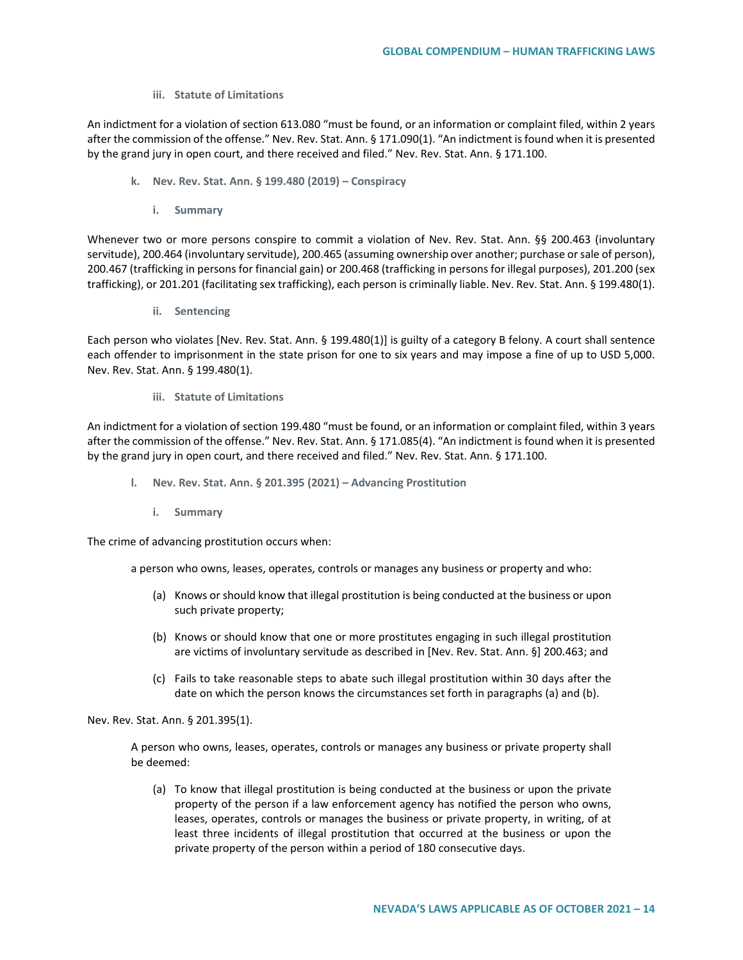An indictment for a violation of section 613.080 "must be found, or an information or complaint filed, within 2 years after the commission of the offense." Nev. Rev. Stat. Ann. § 171.090(1). "An indictment is found when it is presented by the grand jury in open court, and there received and filed." Nev. Rev. Stat. Ann. § 171.100.

- **k. Nev. Rev. Stat. Ann. § 199.480 (2019) – Conspiracy**
	- **i. Summary**

Whenever two or more persons conspire to commit a violation of Nev. Rev. Stat. Ann. §§ 200.463 (involuntary servitude), 200.464 (involuntary servitude), 200.465 (assuming ownership over another; purchase or sale of person), 200.467 (trafficking in persons for financial gain) or 200.468 (trafficking in persons for illegal purposes), 201.200 (sex trafficking), or 201.201 (facilitating sex trafficking), each person is criminally liable. Nev. Rev. Stat. Ann. § 199.480(1).

**ii. Sentencing**

Each person who violates [Nev. Rev. Stat. Ann. § 199.480(1)] is guilty of a category B felony. A court shall sentence each offender to imprisonment in the state prison for one to six years and may impose a fine of up to USD 5,000. Nev. Rev. Stat. Ann. § 199.480(1).

### **iii. Statute of Limitations**

An indictment for a violation of section 199.480 "must be found, or an information or complaint filed, within 3 years after the commission of the offense." Nev. Rev. Stat. Ann. § 171.085(4). "An indictment is found when it is presented by the grand jury in open court, and there received and filed." Nev. Rev. Stat. Ann. § 171.100.

- **l. Nev. Rev. Stat. Ann. § 201.395 (2021) – Advancing Prostitution** 
	- **i. Summary**

The crime of advancing prostitution occurs when:

a person who owns, leases, operates, controls or manages any business or property and who:

- (a) Knows or should know that illegal prostitution is being conducted at the business or upon such private property;
- (b) Knows or should know that one or more prostitutes engaging in such illegal prostitution are victims of involuntary servitude as described in [Nev. Rev. Stat. Ann. §] 200.463; and
- (c) Fails to take reasonable steps to abate such illegal prostitution within 30 days after the date on which the person knows the circumstances set forth in paragraphs (a) and (b).

Nev. Rev. Stat. Ann. § 201.395(1).

A person who owns, leases, operates, controls or manages any business or private property shall be deemed:

(a) To know that illegal prostitution is being conducted at the business or upon the private property of the person if a law enforcement agency has notified the person who owns, leases, operates, controls or manages the business or private property, in writing, of at least three incidents of illegal prostitution that occurred at the business or upon the private property of the person within a period of 180 consecutive days.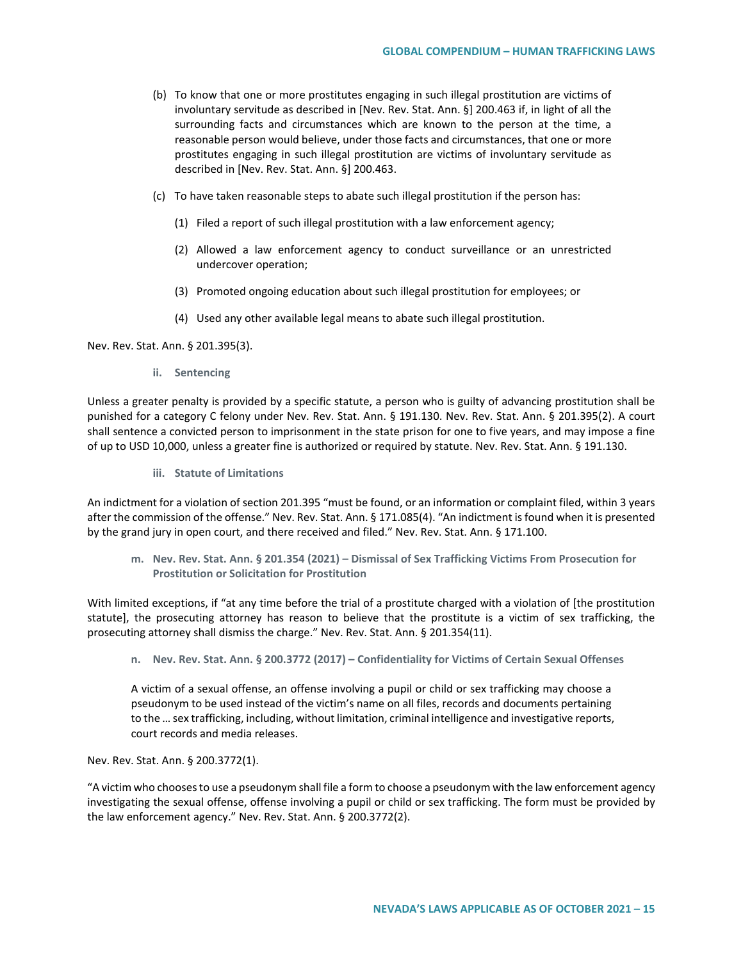- (b) To know that one or more prostitutes engaging in such illegal prostitution are victims of involuntary servitude as described in [Nev. Rev. Stat. Ann. §] 200.463 if, in light of all the surrounding facts and circumstances which are known to the person at the time, a reasonable person would believe, under those facts and circumstances, that one or more prostitutes engaging in such illegal prostitution are victims of involuntary servitude as described in [Nev. Rev. Stat. Ann. §] 200.463.
- (c) To have taken reasonable steps to abate such illegal prostitution if the person has:
	- (1) Filed a report of such illegal prostitution with a law enforcement agency;
	- (2) Allowed a law enforcement agency to conduct surveillance or an unrestricted undercover operation;
	- (3) Promoted ongoing education about such illegal prostitution for employees; or
	- (4) Used any other available legal means to abate such illegal prostitution.

Nev. Rev. Stat. Ann. § 201.395(3).

**ii. Sentencing**

Unless a greater penalty is provided by a specific statute, a person who is guilty of advancing prostitution shall be punished for a category C felony under Nev. Rev. Stat. Ann. § 191.130. Nev. Rev. Stat. Ann. § 201.395(2). A court shall sentence a convicted person to imprisonment in the state prison for one to five years, and may impose a fine of up to USD 10,000, unless a greater fine is authorized or required by statute. Nev. Rev. Stat. Ann. § 191.130.

**iii. Statute of Limitations**

An indictment for a violation of section 201.395 "must be found, or an information or complaint filed, within 3 years after the commission of the offense." Nev. Rev. Stat. Ann. § 171.085(4). "An indictment is found when it is presented by the grand jury in open court, and there received and filed." Nev. Rev. Stat. Ann. § 171.100.

**m. Nev. Rev. Stat. Ann. § 201.354 (2021) – Dismissal of Sex Trafficking Victims From Prosecution for Prostitution or Solicitation for Prostitution**

With limited exceptions, if "at any time before the trial of a prostitute charged with a violation of [the prostitution statute], the prosecuting attorney has reason to believe that the prostitute is a victim of sex trafficking, the prosecuting attorney shall dismiss the charge." Nev. Rev. Stat. Ann. § 201.354(11).

**n. Nev. Rev. Stat. Ann. § 200.3772 (2017) – Confidentiality for Victims of Certain Sexual Offenses** 

A victim of a sexual offense, an offense involving a pupil or child or sex trafficking may choose a pseudonym to be used instead of the victim's name on all files, records and documents pertaining to the … sex trafficking, including, without limitation, criminal intelligence and investigative reports, court records and media releases.

Nev. Rev. Stat. Ann. § 200.3772(1).

"A victim who chooses to use a pseudonym shall file a form to choose a pseudonym with the law enforcement agency investigating the sexual offense, offense involving a pupil or child or sex trafficking. The form must be provided by the law enforcement agency." Nev. Rev. Stat. Ann. § 200.3772(2).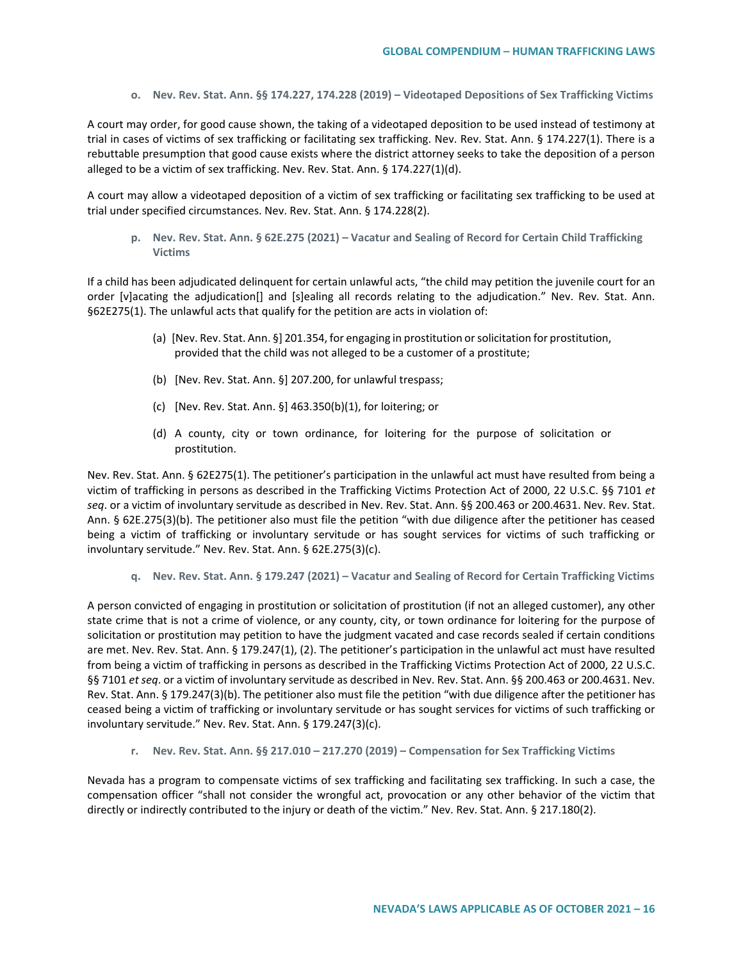**o. Nev. Rev. Stat. Ann. §§ 174.227, 174.228 (2019) – Videotaped Depositions of Sex Trafficking Victims**

A court may order, for good cause shown, the taking of a videotaped deposition to be used instead of testimony at trial in cases of victims of sex trafficking or facilitating sex trafficking. Nev. Rev. Stat. Ann. § 174.227(1). There is a rebuttable presumption that good cause exists where the district attorney seeks to take the deposition of a person alleged to be a victim of sex trafficking. Nev. Rev. Stat. Ann. § 174.227(1)(d).

A court may allow a videotaped deposition of a victim of sex trafficking or facilitating sex trafficking to be used at trial under specified circumstances. Nev. Rev. Stat. Ann. § 174.228(2).

**p. Nev. Rev. Stat. Ann. § 62E.275 (2021) – Vacatur and Sealing of Record for Certain Child Trafficking Victims** 

If a child has been adjudicated delinquent for certain unlawful acts, "the child may petition the juvenile court for an order [v]acating the adjudication[] and [s]ealing all records relating to the adjudication." Nev. Rev. Stat. Ann. §62E275(1). The unlawful acts that qualify for the petition are acts in violation of:

- (a) [Nev. Rev. Stat. Ann. §] 201.354, for engaging in prostitution or solicitation for prostitution, provided that the child was not alleged to be a customer of a prostitute;
- (b) [Nev. Rev. Stat. Ann. §] 207.200, for unlawful trespass;
- (c) [Nev. Rev. Stat. Ann. §] 463.350(b)(1), for loitering; or
- (d) A county, city or town ordinance, for loitering for the purpose of solicitation or prostitution.

Nev. Rev. Stat. Ann. § 62E275(1). The petitioner's participation in the unlawful act must have resulted from being a victim of trafficking in persons as described in the Trafficking Victims Protection Act of 2000, 22 U.S.C. §§ 7101 *et seq*. or a victim of involuntary servitude as described in Nev. Rev. Stat. Ann. §§ 200.463 or 200.4631. Nev. Rev. Stat. Ann. § 62E.275(3)(b). The petitioner also must file the petition "with due diligence after the petitioner has ceased being a victim of trafficking or involuntary servitude or has sought services for victims of such trafficking or involuntary servitude." Nev. Rev. Stat. Ann. § 62E.275(3)(c).

**q. Nev. Rev. Stat. Ann. § 179.247 (2021) – Vacatur and Sealing of Record for Certain Trafficking Victims**

A person convicted of engaging in prostitution or solicitation of prostitution (if not an alleged customer), any other state crime that is not a crime of violence, or any county, city, or town ordinance for loitering for the purpose of solicitation or prostitution may petition to have the judgment vacated and case records sealed if certain conditions are met. Nev. Rev. Stat. Ann. § 179.247(1), (2). The petitioner's participation in the unlawful act must have resulted from being a victim of trafficking in persons as described in the Trafficking Victims Protection Act of 2000, 22 U.S.C. §§ 7101 *et seq*. or a victim of involuntary servitude as described in Nev. Rev. Stat. Ann. §§ 200.463 or 200.4631. Nev. Rev. Stat. Ann. § 179.247(3)(b). The petitioner also must file the petition "with due diligence after the petitioner has ceased being a victim of trafficking or involuntary servitude or has sought services for victims of such trafficking or involuntary servitude." Nev. Rev. Stat. Ann. § 179.247(3)(c).

**r. Nev. Rev. Stat. Ann. §§ 217.010 – 217.270 (2019) – Compensation for Sex Trafficking Victims** 

Nevada has a program to compensate victims of sex trafficking and facilitating sex trafficking. In such a case, the compensation officer "shall not consider the wrongful act, provocation or any other behavior of the victim that directly or indirectly contributed to the injury or death of the victim." Nev. Rev. Stat. Ann. § 217.180(2).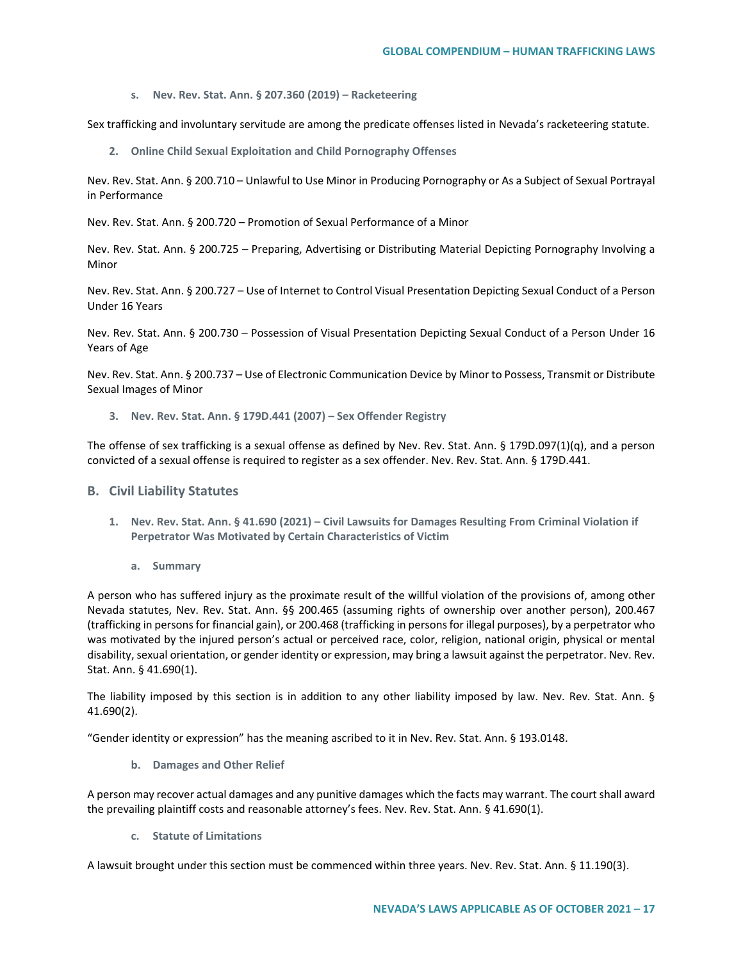**s. Nev. Rev. Stat. Ann. § 207.360 (2019) – Racketeering**

Sex trafficking and involuntary servitude are among the predicate offenses listed in Nevada's racketeering statute.

**2. Online Child Sexual Exploitation and Child Pornography Offenses**

Nev. Rev. Stat. Ann. § 200.710 – Unlawful to Use Minor in Producing Pornography or As a Subject of Sexual Portrayal in Performance

Nev. Rev. Stat. Ann. § 200.720 – Promotion of Sexual Performance of a Minor

Nev. Rev. Stat. Ann. § 200.725 – Preparing, Advertising or Distributing Material Depicting Pornography Involving a Minor

Nev. Rev. Stat. Ann. § 200.727 – Use of Internet to Control Visual Presentation Depicting Sexual Conduct of a Person Under 16 Years

Nev. Rev. Stat. Ann. § 200.730 – Possession of Visual Presentation Depicting Sexual Conduct of a Person Under 16 Years of Age

Nev. Rev. Stat. Ann. § 200.737 – Use of Electronic Communication Device by Minor to Possess, Transmit or Distribute Sexual Images of Minor

**3. Nev. Rev. Stat. Ann. § 179D.441 (2007) – Sex Offender Registry**

The offense of sex trafficking is a sexual offense as defined by Nev. Rev. Stat. Ann. § 179D.097(1)(q), and a person convicted of a sexual offense is required to register as a sex offender. Nev. Rev. Stat. Ann. § 179D.441.

## **B. Civil Liability Statutes**

- **1. Nev. Rev. Stat. Ann. § 41.690 (2021) – Civil Lawsuits for Damages Resulting From Criminal Violation if Perpetrator Was Motivated by Certain Characteristics of Victim**
	- **a. Summary**

A person who has suffered injury as the proximate result of the willful violation of the provisions of, among other Nevada statutes, Nev. Rev. Stat. Ann. §§ 200.465 (assuming rights of ownership over another person), 200.467 (trafficking in persons for financial gain), or 200.468 (trafficking in persons for illegal purposes), by a perpetrator who was motivated by the injured person's actual or perceived race, color, religion, national origin, physical or mental disability, sexual orientation, or gender identity or expression, may bring a lawsuit against the perpetrator. Nev. Rev. Stat. Ann. § 41.690(1).

The liability imposed by this section is in addition to any other liability imposed by law. Nev. Rev. Stat. Ann. § 41.690(2).

"Gender identity or expression" has the meaning ascribed to it in Nev. Rev. Stat. Ann. § 193.0148.

**b. Damages and Other Relief**

A person may recover actual damages and any punitive damages which the facts may warrant. The court shall award the prevailing plaintiff costs and reasonable attorney's fees. Nev. Rev. Stat. Ann. § 41.690(1).

**c. Statute of Limitations**

A lawsuit brought under this section must be commenced within three years. Nev. Rev. Stat. Ann. § 11.190(3).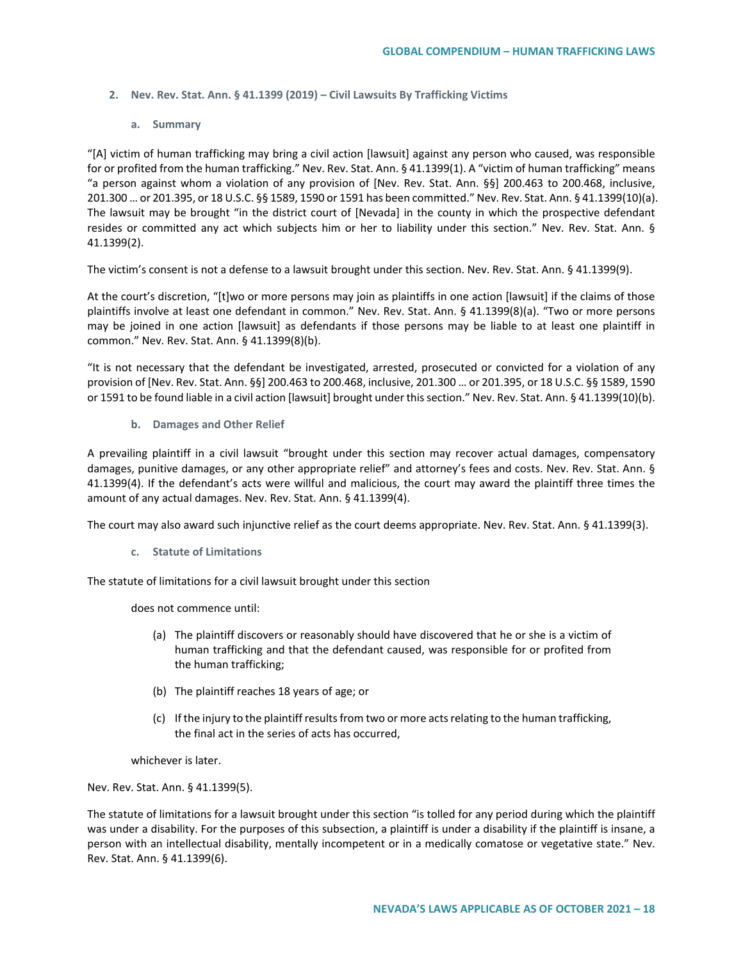- **2. Nev. Rev. Stat. Ann. § 41.1399 (2019) – Civil Lawsuits By Trafficking Victims**
	- **a. Summary**

"[A] victim of human trafficking may bring a civil action [lawsuit] against any person who caused, was responsible for or profited from the human trafficking." Nev. Rev. Stat. Ann. § 41.1399(1). A "victim of human trafficking" means "a person against whom a violation of any provision of [Nev. Rev. Stat. Ann. §§] 200.463 to 200.468, inclusive, 201.300 … or 201.395, or 18 U.S.C. §§ 1589, 1590 or 1591 has been committed." Nev. Rev. Stat. Ann. § 41.1399(10)(a). The lawsuit may be brought "in the district court of [Nevada] in the county in which the prospective defendant resides or committed any act which subjects him or her to liability under this section." Nev. Rev. Stat. Ann. § 41.1399(2).

The victim's consent is not a defense to a lawsuit brought under this section. Nev. Rev. Stat. Ann. § 41.1399(9).

At the court's discretion, "[t]wo or more persons may join as plaintiffs in one action [lawsuit] if the claims of those plaintiffs involve at least one defendant in common." Nev. Rev. Stat. Ann. § 41.1399(8)(a). "Two or more persons may be joined in one action [lawsuit] as defendants if those persons may be liable to at least one plaintiff in common." Nev. Rev. Stat. Ann. § 41.1399(8)(b).

"It is not necessary that the defendant be investigated, arrested, prosecuted or convicted for a violation of any provision of [Nev. Rev. Stat. Ann. §§] 200.463 to 200.468, inclusive, 201.300 … or 201.395, or 18 U.S.C. §§ 1589, 1590 or 1591 to be found liable in a civil action [lawsuit] brought under this section." Nev. Rev. Stat. Ann. § 41.1399(10)(b).

**b. Damages and Other Relief**

A prevailing plaintiff in a civil lawsuit "brought under this section may recover actual damages, compensatory damages, punitive damages, or any other appropriate relief" and attorney's fees and costs. Nev. Rev. Stat. Ann. § 41.1399(4). If the defendant's acts were willful and malicious, the court may award the plaintiff three times the amount of any actual damages. Nev. Rev. Stat. Ann. § 41.1399(4).

The court may also award such injunctive relief as the court deems appropriate. Nev. Rev. Stat. Ann. § 41.1399(3).

**c. Statute of Limitations**

The statute of limitations for a civil lawsuit brought under this section

does not commence until:

- (a) The plaintiff discovers or reasonably should have discovered that he or she is a victim of human trafficking and that the defendant caused, was responsible for or profited from the human trafficking;
- (b) The plaintiff reaches 18 years of age; or
- (c) If the injury to the plaintiff results from two or more acts relating to the human trafficking, the final act in the series of acts has occurred,

whichever is later.

Nev. Rev. Stat. Ann. § 41.1399(5).

The statute of limitations for a lawsuit brought under this section "is tolled for any period during which the plaintiff was under a disability. For the purposes of this subsection, a plaintiff is under a disability if the plaintiff is insane, a person with an intellectual disability, mentally incompetent or in a medically comatose or vegetative state." Nev. Rev. Stat. Ann. § 41.1399(6).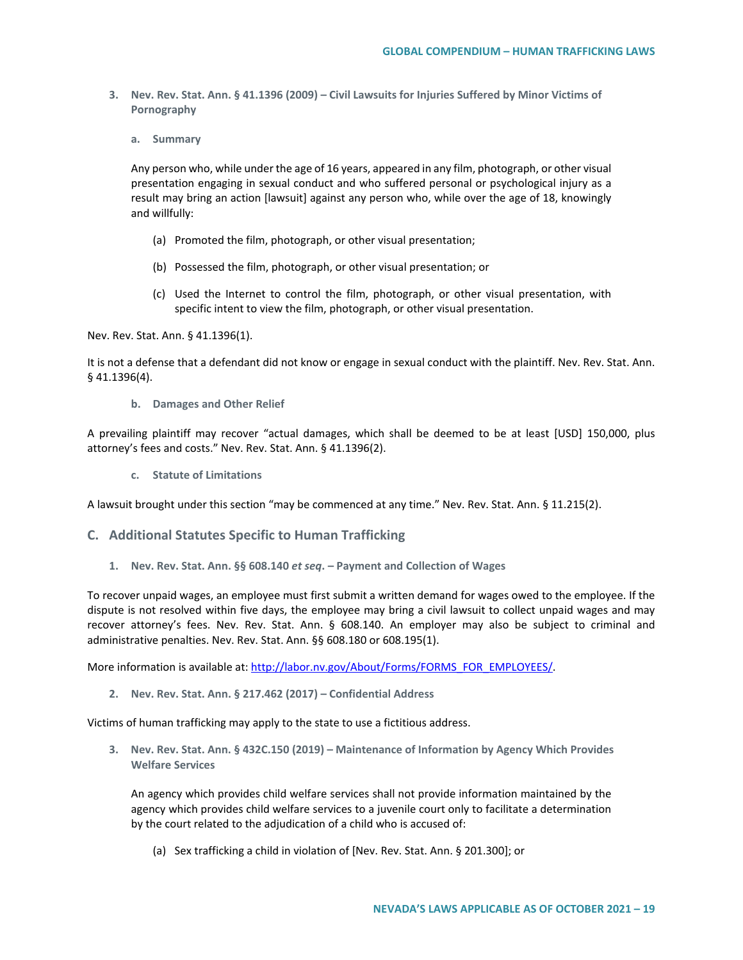- **3. Nev. Rev. Stat. Ann. § 41.1396 (2009) – Civil Lawsuits for Injuries Suffered by Minor Victims of Pornography** 
	- **a. Summary**

Any person who, while under the age of 16 years, appeared in any film, photograph, or other visual presentation engaging in sexual conduct and who suffered personal or psychological injury as a result may bring an action [lawsuit] against any person who, while over the age of 18, knowingly and willfully:

- (a) Promoted the film, photograph, or other visual presentation;
- (b) Possessed the film, photograph, or other visual presentation; or
- (c) Used the Internet to control the film, photograph, or other visual presentation, with specific intent to view the film, photograph, or other visual presentation.

Nev. Rev. Stat. Ann. § 41.1396(1).

It is not a defense that a defendant did not know or engage in sexual conduct with the plaintiff. Nev. Rev. Stat. Ann. § 41.1396(4).

**b. Damages and Other Relief**

A prevailing plaintiff may recover "actual damages, which shall be deemed to be at least [USD] 150,000, plus attorney's fees and costs." Nev. Rev. Stat. Ann. § 41.1396(2).

**c. Statute of Limitations**

A lawsuit brought under this section "may be commenced at any time." Nev. Rev. Stat. Ann. § 11.215(2).

### **C. Additional Statutes Specific to Human Trafficking**

**1. Nev. Rev. Stat. Ann. §§ 608.140** *et seq***. – Payment and Collection of Wages** 

To recover unpaid wages, an employee must first submit a written demand for wages owed to the employee. If the dispute is not resolved within five days, the employee may bring a civil lawsuit to collect unpaid wages and may recover attorney's fees. Nev. Rev. Stat. Ann. § 608.140. An employer may also be subject to criminal and administrative penalties. Nev. Rev. Stat. Ann. §§ 608.180 or 608.195(1).

More information is available at: [http://labor.nv.gov/About/Forms/FORMS\\_FOR\\_EMPLOYEES/.](http://labor.nv.gov/About/Forms/FORMS_FOR_EMPLOYEES/)

**2. Nev. Rev. Stat. Ann. § 217.462 (2017) – Confidential Address** 

Victims of human trafficking may apply to the state to use a fictitious address.

**3. Nev. Rev. Stat. Ann. § 432C.150 (2019) – Maintenance of Information by Agency Which Provides Welfare Services**

An agency which provides child welfare services shall not provide information maintained by the agency which provides child welfare services to a juvenile court only to facilitate a determination by the court related to the adjudication of a child who is accused of:

(a) Sex trafficking a child in violation of [Nev. Rev. Stat. Ann. § 201.300]; or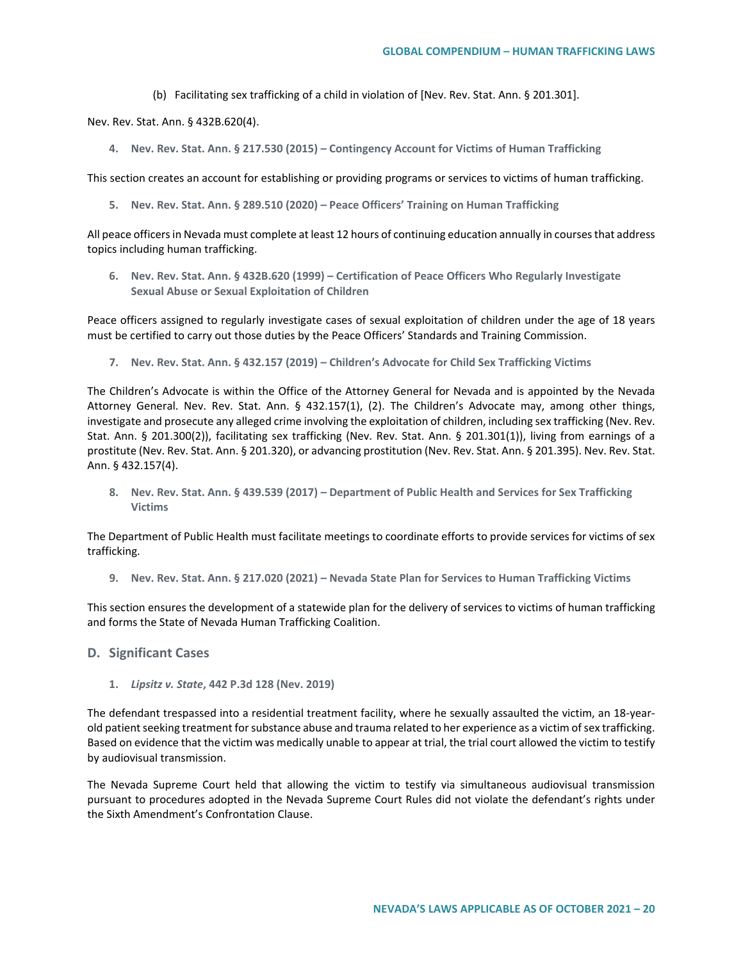(b) Facilitating sex trafficking of a child in violation of [Nev. Rev. Stat. Ann. § 201.301].

Nev. Rev. Stat. Ann. § 432B.620(4).

**4. Nev. Rev. Stat. Ann. § 217.530 (2015) – Contingency Account for Victims of Human Trafficking**

This section creates an account for establishing or providing programs or services to victims of human trafficking.

**5. Nev. Rev. Stat. Ann. § 289.510 (2020) – Peace Officers' Training on Human Trafficking**

All peace officers in Nevada must complete at least 12 hours of continuing education annually in courses that address topics including human trafficking.

**6. Nev. Rev. Stat. Ann. § 432B.620 (1999) – Certification of Peace Officers Who Regularly Investigate Sexual Abuse or Sexual Exploitation of Children**

Peace officers assigned to regularly investigate cases of sexual exploitation of children under the age of 18 years must be certified to carry out those duties by the Peace Officers' Standards and Training Commission.

**7. Nev. Rev. Stat. Ann. § 432.157 (2019) – Children's Advocate for Child Sex Trafficking Victims**

The Children's Advocate is within the Office of the Attorney General for Nevada and is appointed by the Nevada Attorney General. Nev. Rev. Stat. Ann. § 432.157(1), (2). The Children's Advocate may, among other things, investigate and prosecute any alleged crime involving the exploitation of children, including sex trafficking (Nev. Rev. Stat. Ann. § 201.300(2)), facilitating sex trafficking (Nev. Rev. Stat. Ann. § 201.301(1)), living from earnings of a prostitute (Nev. Rev. Stat. Ann. § 201.320), or advancing prostitution (Nev. Rev. Stat. Ann. § 201.395). Nev. Rev. Stat. Ann. § 432.157(4).

**8. Nev. Rev. Stat. Ann. § 439.539 (2017) – Department of Public Health and Services for Sex Trafficking Victims**

The Department of Public Health must facilitate meetings to coordinate efforts to provide services for victims of sex trafficking.

**9. Nev. Rev. Stat. Ann. § 217.020 (2021) – Nevada State Plan for Services to Human Trafficking Victims**

This section ensures the development of a statewide plan for the delivery of services to victims of human trafficking and forms the State of Nevada Human Trafficking Coalition.

## **D. Significant Cases**

#### **1.** *Lipsitz v. State***, 442 P.3d 128 (Nev. 2019)**

The defendant trespassed into a residential treatment facility, where he sexually assaulted the victim, an 18-yearold patient seeking treatment for substance abuse and trauma related to her experience as a victim of sex trafficking. Based on evidence that the victim was medically unable to appear at trial, the trial court allowed the victim to testify by audiovisual transmission.

The Nevada Supreme Court held that allowing the victim to testify via simultaneous audiovisual transmission pursuant to procedures adopted in the Nevada Supreme Court Rules did not violate the defendant's rights under the Sixth Amendment's Confrontation Clause.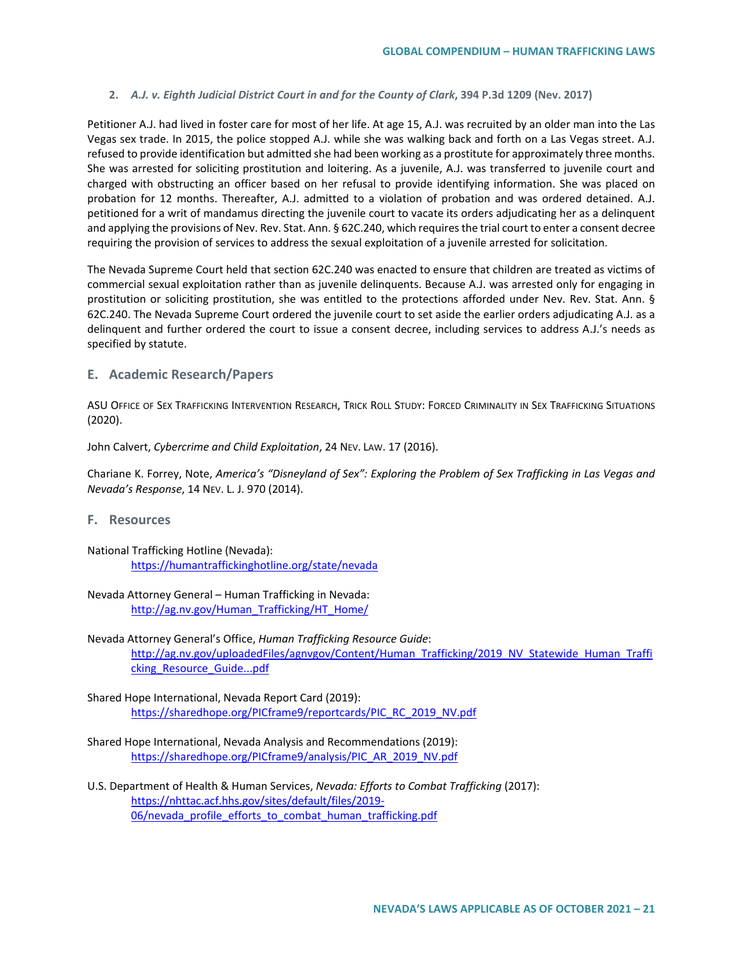### **2.** *A.J. v. Eighth Judicial District Court in and for the County of Clark***, 394 P.3d 1209 (Nev. 2017)**

Petitioner A.J. had lived in foster care for most of her life. At age 15, A.J. was recruited by an older man into the Las Vegas sex trade. In 2015, the police stopped A.J. while she was walking back and forth on a Las Vegas street. A.J. refused to provide identification but admitted she had been working as a prostitute for approximately three months. She was arrested for soliciting prostitution and loitering. As a juvenile, A.J. was transferred to juvenile court and charged with obstructing an officer based on her refusal to provide identifying information. She was placed on probation for 12 months. Thereafter, A.J. admitted to a violation of probation and was ordered detained. A.J. petitioned for a writ of mandamus directing the juvenile court to vacate its orders adjudicating her as a delinquent and applying the provisions of Nev. Rev. Stat. Ann. § 62C.240, which requires the trial court to enter a consent decree requiring the provision of services to address the sexual exploitation of a juvenile arrested for solicitation.

The Nevada Supreme Court held that section 62C.240 was enacted to ensure that children are treated as victims of commercial sexual exploitation rather than as juvenile delinquents. Because A.J. was arrested only for engaging in prostitution or soliciting prostitution, she was entitled to the protections afforded under Nev. Rev. Stat. Ann. § 62C.240. The Nevada Supreme Court ordered the juvenile court to set aside the earlier orders adjudicating A.J. as a delinquent and further ordered the court to issue a consent decree, including services to address A.J.'s needs as specified by statute.

## **E. Academic Research/Papers**

ASU OFFICE OF SEX TRAFFICKING INTERVENTION RESEARCH, TRICK ROLL STUDY: FORCED CRIMINALITY IN SEX TRAFFICKING SITUATIONS (2020).

John Calvert, *Cybercrime and Child Exploitation*, 24 NEV. LAW. 17 (2016).

Chariane K. Forrey, Note, *America's "Disneyland of Sex": Exploring the Problem of Sex Trafficking in Las Vegas and Nevada's Response*, 14 NEV. L. J. 970 (2014).

## **F. Resources**

National Trafficking Hotline (Nevada): <https://humantraffickinghotline.org/state/nevada>

Nevada Attorney General – Human Trafficking in Nevada: [http://ag.nv.gov/Human\\_Trafficking/HT\\_Home/](http://ag.nv.gov/Human_Trafficking/HT_Home/)

- Nevada Attorney General's Office, *Human Trafficking Resource Guide*: [http://ag.nv.gov/uploadedFiles/agnvgov/Content/Human\\_Trafficking/2019\\_NV\\_Statewide\\_Human\\_Traffi](http://ag.nv.gov/uploadedFiles/agnvgov/Content/Human_Trafficking/2019_NV_Statewide_Human_Trafficking_Resource_Guide...pdf) [cking\\_Resource\\_Guide...pdf](http://ag.nv.gov/uploadedFiles/agnvgov/Content/Human_Trafficking/2019_NV_Statewide_Human_Trafficking_Resource_Guide...pdf)
- Shared Hope International, Nevada Report Card (2019): [https://sharedhope.org/PICframe9/reportcards/PIC\\_RC\\_2019\\_NV.pdf](https://sharedhope.org/PICframe9/reportcards/PIC_RC_2019_NV.pdf)
- Shared Hope International, Nevada Analysis and Recommendations (2019): [https://sharedhope.org/PICframe9/analysis/PIC\\_AR\\_2019\\_NV.pdf](https://sharedhope.org/PICframe9/analysis/PIC_AR_2019_NV.pdf)
- U.S. Department of Health & Human Services, *Nevada: Efforts to Combat Trafficking* (2017): [https://nhttac.acf.hhs.gov/sites/default/files/2019-](https://nhttac.acf.hhs.gov/sites/default/files/2019-06/nevada_profile_efforts_to_combat_human_trafficking.pdf) [06/nevada\\_profile\\_efforts\\_to\\_combat\\_human\\_trafficking.pdf](https://nhttac.acf.hhs.gov/sites/default/files/2019-06/nevada_profile_efforts_to_combat_human_trafficking.pdf)